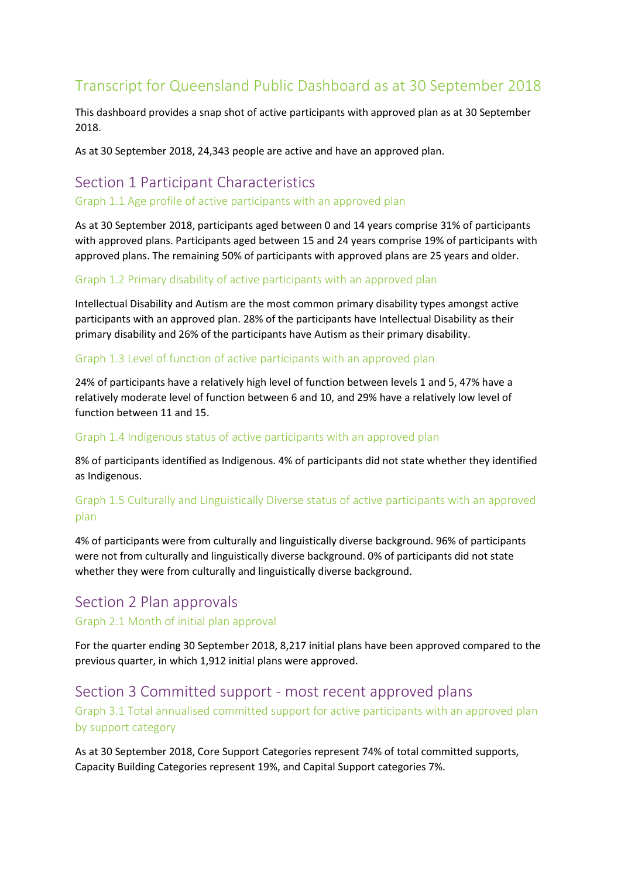# Transcript for Queensland Public Dashboard as at 30 September 2018

This dashboard provides a snap shot of active participants with approved plan as at 30 September 2018.

As at 30 September 2018, 24,343 people are active and have an approved plan.

# Section 1 Participant Characteristics

#### Graph 1.1 Age profile of active participants with an approved plan

As at 30 September 2018, participants aged between 0 and 14 years comprise 31% of participants with approved plans. Participants aged between 15 and 24 years comprise 19% of participants with approved plans. The remaining 50% of participants with approved plans are 25 years and older.

#### Graph 1.2 Primary disability of active participants with an approved plan

Intellectual Disability and Autism are the most common primary disability types amongst active participants with an approved plan. 28% of the participants have Intellectual Disability as their primary disability and 26% of the participants have Autism as their primary disability.

#### Graph 1.3 Level of function of active participants with an approved plan

24% of participants have a relatively high level of function between levels 1 and 5, 47% have a relatively moderate level of function between 6 and 10, and 29% have a relatively low level of function between 11 and 15.

#### Graph 1.4 Indigenous status of active participants with an approved plan

8% of participants identified as Indigenous. 4% of participants did not state whether they identified as Indigenous.

## Graph 1.5 Culturally and Linguistically Diverse status of active participants with an approved plan

4% of participants were from culturally and linguistically diverse background. 96% of participants were not from culturally and linguistically diverse background. 0% of participants did not state whether they were from culturally and linguistically diverse background.

# Section 2 Plan approvals

#### Graph 2.1 Month of initial plan approval

For the quarter ending 30 September 2018, 8,217 initial plans have been approved compared to the previous quarter, in which 1,912 initial plans were approved.

# Section 3 Committed support - most recent approved plans

Graph 3.1 Total annualised committed support for active participants with an approved plan by support category

As at 30 September 2018, Core Support Categories represent 74% of total committed supports, Capacity Building Categories represent 19%, and Capital Support categories 7%.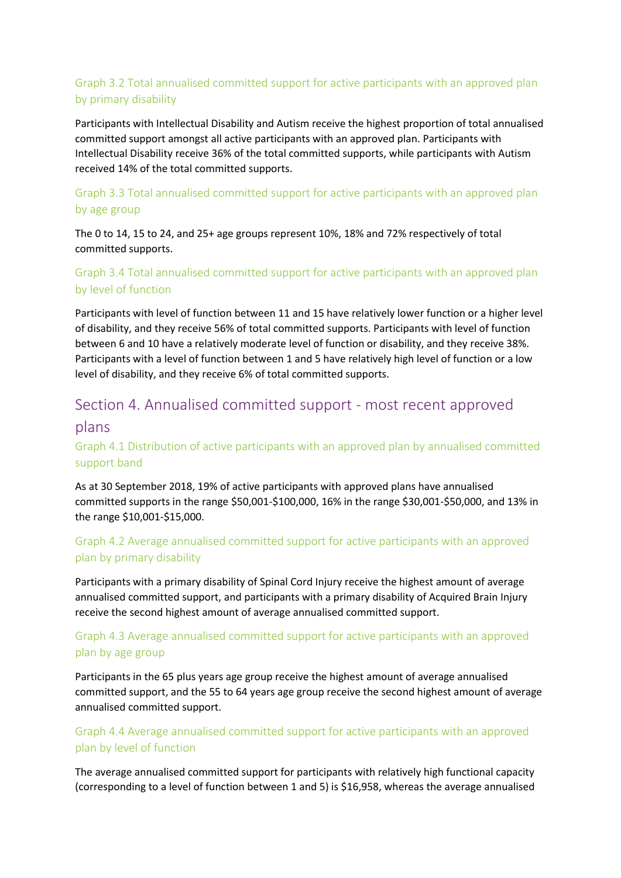# Graph 3.2 Total annualised committed support for active participants with an approved plan by primary disability

Participants with Intellectual Disability and Autism receive the highest proportion of total annualised committed support amongst all active participants with an approved plan. Participants with Intellectual Disability receive 36% of the total committed supports, while participants with Autism received 14% of the total committed supports.

# Graph 3.3 Total annualised committed support for active participants with an approved plan by age group

The 0 to 14, 15 to 24, and 25+ age groups represent 10%, 18% and 72% respectively of total committed supports.

## Graph 3.4 Total annualised committed support for active participants with an approved plan by level of function

Participants with level of function between 11 and 15 have relatively lower function or a higher level of disability, and they receive 56% of total committed supports. Participants with level of function between 6 and 10 have a relatively moderate level of function or disability, and they receive 38%. Participants with a level of function between 1 and 5 have relatively high level of function or a low level of disability, and they receive 6% of total committed supports.

# Section 4. Annualised committed support - most recent approved

## plans

# Graph 4.1 Distribution of active participants with an approved plan by annualised committed support band

As at 30 September 2018, 19% of active participants with approved plans have annualised committed supports in the range \$50,001-\$100,000, 16% in the range \$30,001-\$50,000, and 13% in the range \$10,001-\$15,000.

# Graph 4.2 Average annualised committed support for active participants with an approved plan by primary disability

Participants with a primary disability of Spinal Cord Injury receive the highest amount of average annualised committed support, and participants with a primary disability of Acquired Brain Injury receive the second highest amount of average annualised committed support.

# Graph 4.3 Average annualised committed support for active participants with an approved plan by age group

Participants in the 65 plus years age group receive the highest amount of average annualised committed support, and the 55 to 64 years age group receive the second highest amount of average annualised committed support.

## Graph 4.4 Average annualised committed support for active participants with an approved plan by level of function

The average annualised committed support for participants with relatively high functional capacity (corresponding to a level of function between 1 and 5) is \$16,958, whereas the average annualised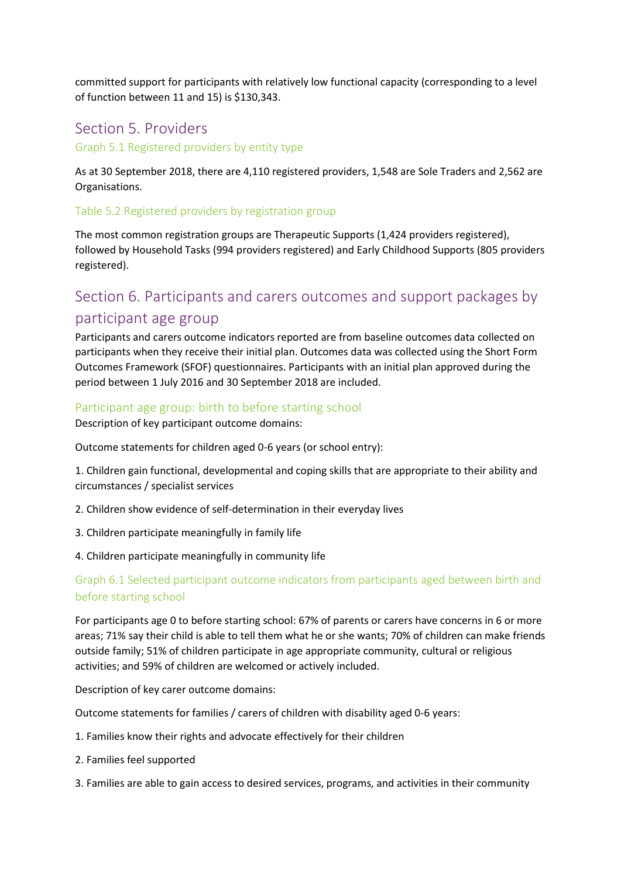committed support for participants with relatively low functional capacity (corresponding to a level of function between 11 and 15) is \$130,343.

# Section 5. Providers

Graph 5.1 Registered providers by entity type

As at 30 September 2018, there are 4,110 registered providers, 1,548 are Sole Traders and 2,562 are Organisations.

#### Table 5.2 Registered providers by registration group

The most common registration groups are Therapeutic Supports (1,424 providers registered), followed by Household Tasks (994 providers registered) and Early Childhood Supports (805 providers registered).

# Section 6. Participants and carers outcomes and support packages by participant age group

Participants and carers outcome indicators reported are from baseline outcomes data collected on participants when they receive their initial plan. Outcomes data was collected using the Short Form Outcomes Framework (SFOF) questionnaires. Participants with an initial plan approved during the period between 1 July 2016 and 30 September 2018 are included.

#### Participant age group: birth to before starting school

Description of key participant outcome domains:

Outcome statements for children aged 0-6 years (or school entry):

1. Children gain functional, developmental and coping skills that are appropriate to their ability and circumstances / specialist services

- 2. Children show evidence of self-determination in their everyday lives
- 3. Children participate meaningfully in family life
- 4. Children participate meaningfully in community life

#### Graph 6.1 Selected participant outcome indicators from participants aged between birth and before starting school

For participants age 0 to before starting school: 67% of parents or carers have concerns in 6 or more areas; 71% say their child is able to tell them what he or she wants; 70% of children can make friends outside family; 51% of children participate in age appropriate community, cultural or religious activities; and 59% of children are welcomed or actively included.

Description of key carer outcome domains:

Outcome statements for families / carers of children with disability aged 0-6 years:

- 1. Families know their rights and advocate effectively for their children
- 2. Families feel supported
- 3. Families are able to gain access to desired services, programs, and activities in their community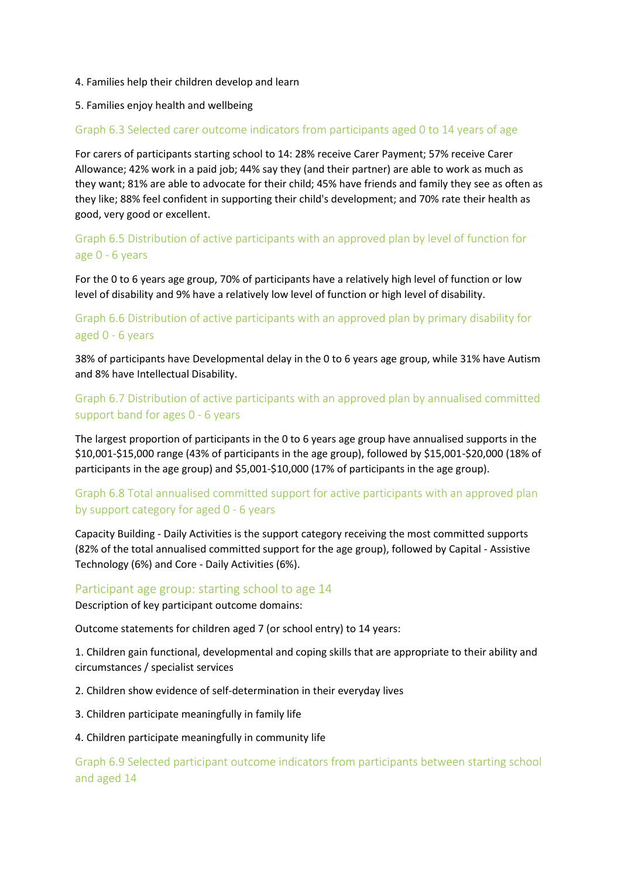#### 4. Families help their children develop and learn

#### 5. Families enjoy health and wellbeing

#### Graph 6.3 Selected carer outcome indicators from participants aged 0 to 14 years of age

For carers of participants starting school to 14: 28% receive Carer Payment; 57% receive Carer Allowance; 42% work in a paid job; 44% say they (and their partner) are able to work as much as they want; 81% are able to advocate for their child; 45% have friends and family they see as often as they like; 88% feel confident in supporting their child's development; and 70% rate their health as good, very good or excellent.

## Graph 6.5 Distribution of active participants with an approved plan by level of function for age 0 - 6 years

For the 0 to 6 years age group, 70% of participants have a relatively high level of function or low level of disability and 9% have a relatively low level of function or high level of disability.

## Graph 6.6 Distribution of active participants with an approved plan by primary disability for aged 0 - 6 years

38% of participants have Developmental delay in the 0 to 6 years age group, while 31% have Autism and 8% have Intellectual Disability.

## Graph 6.7 Distribution of active participants with an approved plan by annualised committed support band for ages 0 - 6 years

The largest proportion of participants in the 0 to 6 years age group have annualised supports in the \$10,001-\$15,000 range (43% of participants in the age group), followed by \$15,001-\$20,000 (18% of participants in the age group) and \$5,001-\$10,000 (17% of participants in the age group).

## Graph 6.8 Total annualised committed support for active participants with an approved plan by support category for aged 0 - 6 years

Capacity Building - Daily Activities is the support category receiving the most committed supports (82% of the total annualised committed support for the age group), followed by Capital - Assistive Technology (6%) and Core - Daily Activities (6%).

#### Participant age group: starting school to age 14

Description of key participant outcome domains:

Outcome statements for children aged 7 (or school entry) to 14 years:

1. Children gain functional, developmental and coping skills that are appropriate to their ability and circumstances / specialist services

2. Children show evidence of self-determination in their everyday lives

3. Children participate meaningfully in family life

#### 4. Children participate meaningfully in community life

Graph 6.9 Selected participant outcome indicators from participants between starting school and aged 14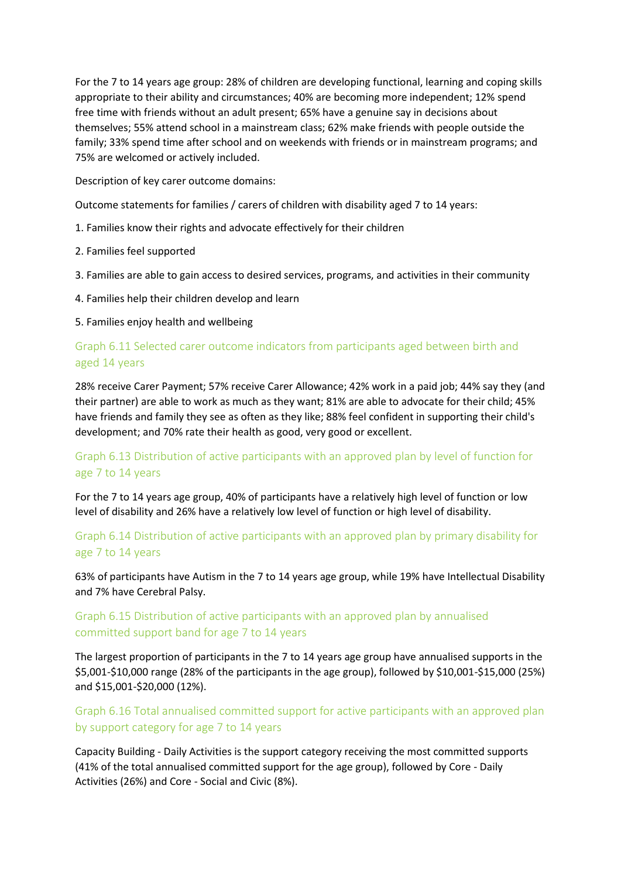For the 7 to 14 years age group: 28% of children are developing functional, learning and coping skills appropriate to their ability and circumstances; 40% are becoming more independent; 12% spend free time with friends without an adult present; 65% have a genuine say in decisions about themselves; 55% attend school in a mainstream class; 62% make friends with people outside the family; 33% spend time after school and on weekends with friends or in mainstream programs; and 75% are welcomed or actively included.

Description of key carer outcome domains:

Outcome statements for families / carers of children with disability aged 7 to 14 years:

- 1. Families know their rights and advocate effectively for their children
- 2. Families feel supported
- 3. Families are able to gain access to desired services, programs, and activities in their community
- 4. Families help their children develop and learn

5. Families enjoy health and wellbeing

## Graph 6.11 Selected carer outcome indicators from participants aged between birth and aged 14 years

28% receive Carer Payment; 57% receive Carer Allowance; 42% work in a paid job; 44% say they (and their partner) are able to work as much as they want; 81% are able to advocate for their child; 45% have friends and family they see as often as they like; 88% feel confident in supporting their child's development; and 70% rate their health as good, very good or excellent.

## Graph 6.13 Distribution of active participants with an approved plan by level of function for age 7 to 14 years

For the 7 to 14 years age group, 40% of participants have a relatively high level of function or low level of disability and 26% have a relatively low level of function or high level of disability.

## Graph 6.14 Distribution of active participants with an approved plan by primary disability for age 7 to 14 years

63% of participants have Autism in the 7 to 14 years age group, while 19% have Intellectual Disability and 7% have Cerebral Palsy.

# Graph 6.15 Distribution of active participants with an approved plan by annualised committed support band for age 7 to 14 years

The largest proportion of participants in the 7 to 14 years age group have annualised supports in the \$5,001-\$10,000 range (28% of the participants in the age group), followed by \$10,001-\$15,000 (25%) and \$15,001-\$20,000 (12%).

## Graph 6.16 Total annualised committed support for active participants with an approved plan by support category for age 7 to 14 years

Capacity Building - Daily Activities is the support category receiving the most committed supports (41% of the total annualised committed support for the age group), followed by Core - Daily Activities (26%) and Core - Social and Civic (8%).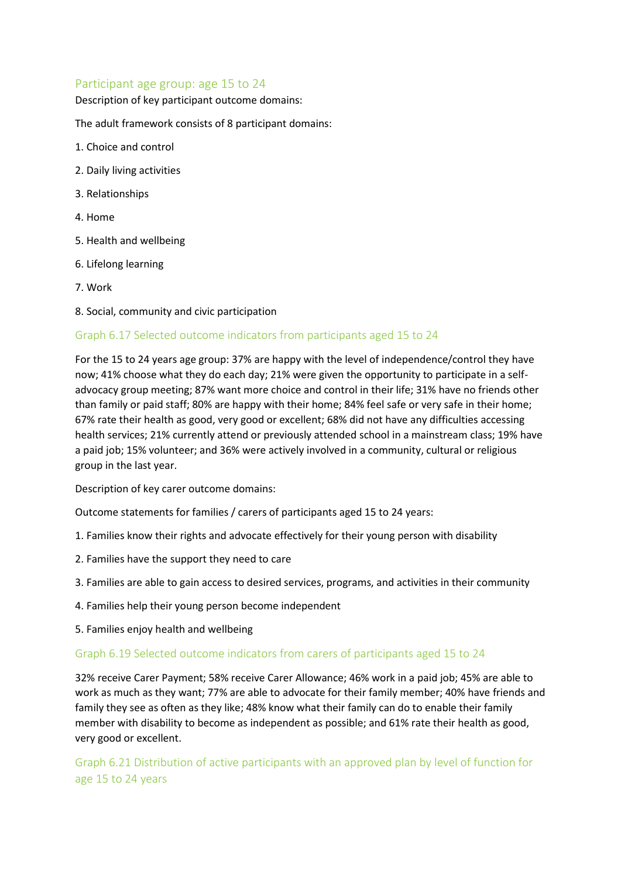#### Participant age group: age 15 to 24

Description of key participant outcome domains:

The adult framework consists of 8 participant domains:

- 1. Choice and control
- 2. Daily living activities
- 3. Relationships
- 4. Home
- 5. Health and wellbeing
- 6. Lifelong learning
- 7. Work
- 8. Social, community and civic participation

#### Graph 6.17 Selected outcome indicators from participants aged 15 to 24

For the 15 to 24 years age group: 37% are happy with the level of independence/control they have now; 41% choose what they do each day; 21% were given the opportunity to participate in a selfadvocacy group meeting; 87% want more choice and control in their life; 31% have no friends other than family or paid staff; 80% are happy with their home; 84% feel safe or very safe in their home; 67% rate their health as good, very good or excellent; 68% did not have any difficulties accessing health services; 21% currently attend or previously attended school in a mainstream class; 19% have a paid job; 15% volunteer; and 36% were actively involved in a community, cultural or religious group in the last year.

Description of key carer outcome domains:

Outcome statements for families / carers of participants aged 15 to 24 years:

- 1. Families know their rights and advocate effectively for their young person with disability
- 2. Families have the support they need to care
- 3. Families are able to gain access to desired services, programs, and activities in their community
- 4. Families help their young person become independent
- 5. Families enjoy health and wellbeing

#### Graph 6.19 Selected outcome indicators from carers of participants aged 15 to 24

32% receive Carer Payment; 58% receive Carer Allowance; 46% work in a paid job; 45% are able to work as much as they want; 77% are able to advocate for their family member; 40% have friends and family they see as often as they like; 48% know what their family can do to enable their family member with disability to become as independent as possible; and 61% rate their health as good, very good or excellent.

Graph 6.21 Distribution of active participants with an approved plan by level of function for age 15 to 24 years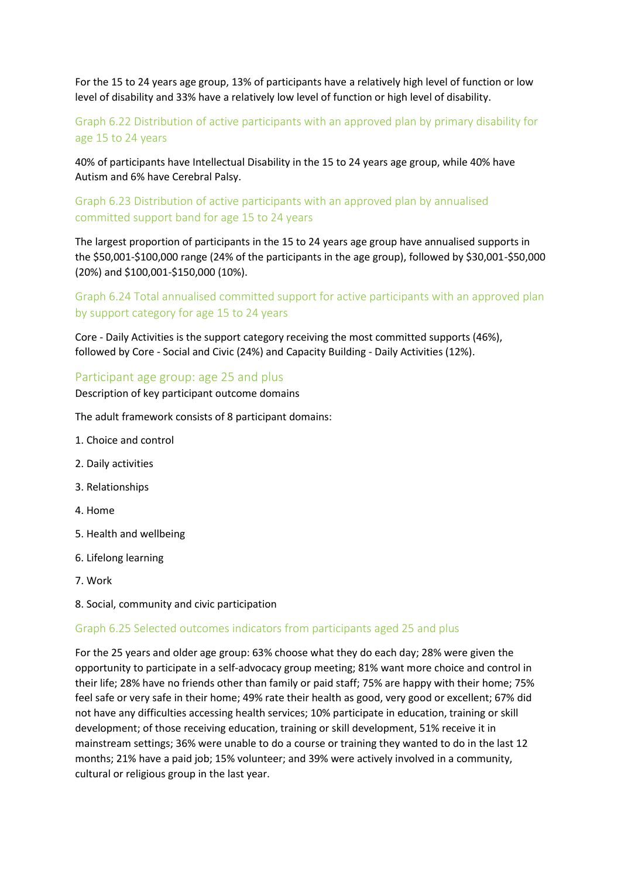For the 15 to 24 years age group, 13% of participants have a relatively high level of function or low level of disability and 33% have a relatively low level of function or high level of disability.

# Graph 6.22 Distribution of active participants with an approved plan by primary disability for age 15 to 24 years

40% of participants have Intellectual Disability in the 15 to 24 years age group, while 40% have Autism and 6% have Cerebral Palsy.

#### Graph 6.23 Distribution of active participants with an approved plan by annualised committed support band for age 15 to 24 years

The largest proportion of participants in the 15 to 24 years age group have annualised supports in the \$50,001-\$100,000 range (24% of the participants in the age group), followed by \$30,001-\$50,000 (20%) and \$100,001-\$150,000 (10%).

# Graph 6.24 Total annualised committed support for active participants with an approved plan by support category for age 15 to 24 years

Core - Daily Activities is the support category receiving the most committed supports (46%), followed by Core - Social and Civic (24%) and Capacity Building - Daily Activities (12%).

#### Participant age group: age 25 and plus

Description of key participant outcome domains

The adult framework consists of 8 participant domains:

- 1. Choice and control
- 2. Daily activities
- 3. Relationships
- 4. Home
- 5. Health and wellbeing
- 6. Lifelong learning
- 7. Work
- 8. Social, community and civic participation

#### Graph 6.25 Selected outcomes indicators from participants aged 25 and plus

For the 25 years and older age group: 63% choose what they do each day; 28% were given the opportunity to participate in a self-advocacy group meeting; 81% want more choice and control in their life; 28% have no friends other than family or paid staff; 75% are happy with their home; 75% feel safe or very safe in their home; 49% rate their health as good, very good or excellent; 67% did not have any difficulties accessing health services; 10% participate in education, training or skill development; of those receiving education, training or skill development, 51% receive it in mainstream settings; 36% were unable to do a course or training they wanted to do in the last 12 months; 21% have a paid job; 15% volunteer; and 39% were actively involved in a community, cultural or religious group in the last year.